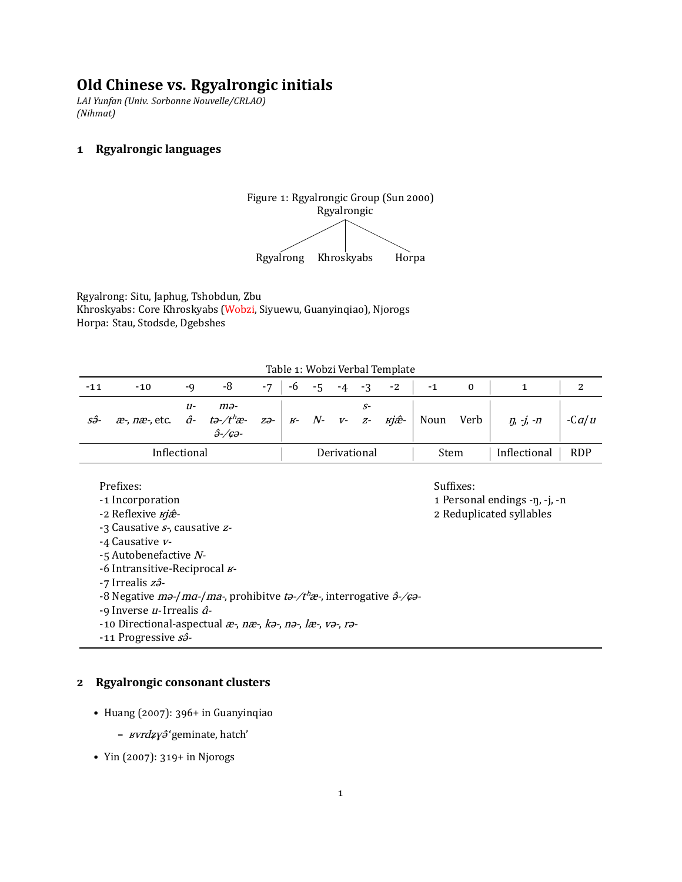# **Old Chinese vs. Rgyalrongic initials**

*LAI Yunfan (Univ. Sorbonne Nouvelle/CRLAO) (Nihmat)*

### **͟ Rgyalrongic languages**



Rgyalrong: Situ, Japhug, Tshobdun, Zbu Khroskyabs: Core Khroskyabs (Wobzi, Siyuewu, Guanyinqiao), Njorogs Horpa: Stau, Stodsde, Dgebshes

|  |  |  | Table 1: Wobzi Verbal Template |
|--|--|--|--------------------------------|
|--|--|--|--------------------------------|

| $-11$ | $-10$                                                                                 | -Q  | -8                                       | $-7$ | -6 |  |              | $-5$ $-4$ $-3$ $-2$ | $-1$ |      |                 |            |
|-------|---------------------------------------------------------------------------------------|-----|------------------------------------------|------|----|--|--------------|---------------------|------|------|-----------------|------------|
| sô-   | $x^2$ , nx, etc. $\hat{a}$ - tə-/t <sup>h</sup> x - zə-   $x$ - N- v- z- $x^2$   Noun | 11- | mə-<br>$\hat{\partial}$ -/ $c\partial$ - |      |    |  |              |                     |      | Verb | $\eta$ , -j, -n | $-Ca/u$    |
|       | Inflectional                                                                          |     |                                          |      |    |  | Derivational |                     | Stem |      | Inflectional    | <b>RDP</b> |

#### Prefixes: Suffixes: Suffixes: Suffixes: Suffixes: Suffixes: Suffixes: Suffixes: Suffixes: Suffixes: Suffixes: Suffixes: Suffixes: Suffixes: Suffixes: Suffixes: Suffixes: Suffixes: Suffixes: Suffixes: Suffixes: Suffixes: Su

- 
- -3 Causative s-, causative z-
- -4 Causative v-
- -ͣ Autobenefactive N-
- -6 Intransitive-Reciprocal  $\n$
- -7 Irrealis z<sup>3</sup>-
- -8 Negative  $m\partial/ma$ -/ma-, prohibitve t $\partial$ -/t<sup>h</sup>æ-, interrogative  $\partial$ -/ $\varphi$ -
- -9 Inverse  $u$  Irrealis  $\hat{a}$ -
- -10 Directional-aspectual  $x$ -, n $x$ -,  $k$ a-, na-, l $x$ -, va-, ra-

-11 Progressive s<sup>3</sup>-

#### **͠ Rgyalrongic consonant clusters**

- Huang (2007): 396+ in Guanyinqiao
	- **–** ʁvrdʑɣə̂'geminate, hatch'
- Yin (2007): 319+ in Njorogs

-1 Incorporation **a** Personal endings -n, -j, -n

-2 Reflexive  $xj\hat{x}$ -<br>2 Reduplicated syllables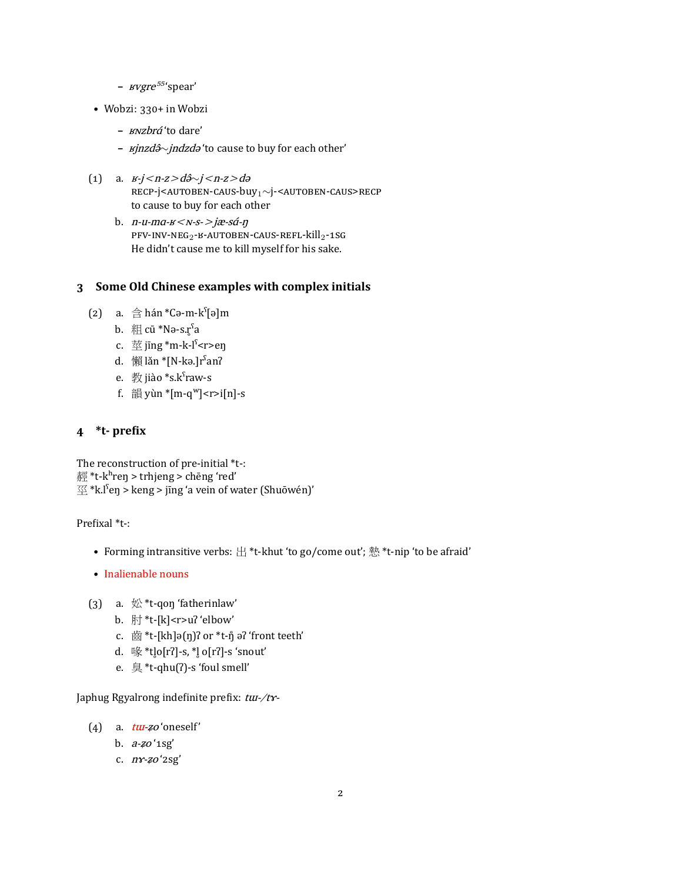- *– <i>wgre*<sup>55</sup>'spear'
- Wobzi: 330+ in Wobzi
	- **–** ʁɴzbrɑ́'to dare'
	- **–** ʁjnzdə̂*∼*jndzdə 'to cause to buy for each other'
- (͟) a. ʁ-j<n-z>də̂*∼*j<n-z>də RECP-j<AUTOBEN-CAUS-buy<sub>1</sub>~j-<AUTOBEN-CAUS>RECP to cause to buy for each other
	- b.  $n$ -u-ma- $\n <$ N-s- $\rightarrow$ jæ-sá- $\eta$  $PFV-INV-NEG_{2}-B-AUTOBEN-CAUS-REFL-kill_{2}-1SG$ He didn't cause me to kill myself for his sake.

#### **͡ Some Old Chinese examples with complex initials**

- (2) a.  $\hat{\oplus}$  hán \*Cə-m-kˤ[ə]m
	- b.  $\#$  cū \*Nə-s. $r^s$ a
	- c.  $\frac{2\pi}{3}$  jīng \*m-k-l<sup>s</sup> <r>en
	- d. 懶 lǎn \*[N-kə.]r<sup>s</sup>an?
	- e. 教 jiào \*s.kˤraw-s
	- f.  $\frac{25}{10}$  yùn  $\frac{25}{10}$ -q<sup>w</sup>] <r>i[n]-s

### **͢ \*t- preϐix**

The reconstruction of pre-initial \*t-: 經 \*t-k $h$ reŋ > trhjeng > chēng 'red'  $\mathbb{Z}^*$ k.l<sup>s</sup>en > keng > jīng 'a vein of water (Shuōwén)'

#### Prefixal \*t-:

- Forming intransitive verbs: 出 \*t-khut 'to go/come out'; 慹 \*t-nip 'to be afraid'
- Inalienable nouns
- (3) a.  $\frac{1}{2}$  \*t-qon 'fatherinlaw'
	- b. 肘 \*t-[k]<r>uʔ 'elbow'
	- c.  $\ddot{\text{m}}$  \*t-[kh]ə(ŋ)? or \*t-ŋ̊ ə? 'front teeth'
	- d. 喙\*t $[0]$ -s,  $*$  $[0]$  o[rʔ]-s 'snout'
	- e. 臭 \*t-qhu(ʔ)-s 'foul smell'

Japhug Rgyalrong indefinite prefix: tu-/ty-

- (4) a.  $t\overline{u}t$ -zo 'oneself'
	- b.  $a-zo$  ' $1sg'$
	- c.  $n \gamma$ -zo '2sg'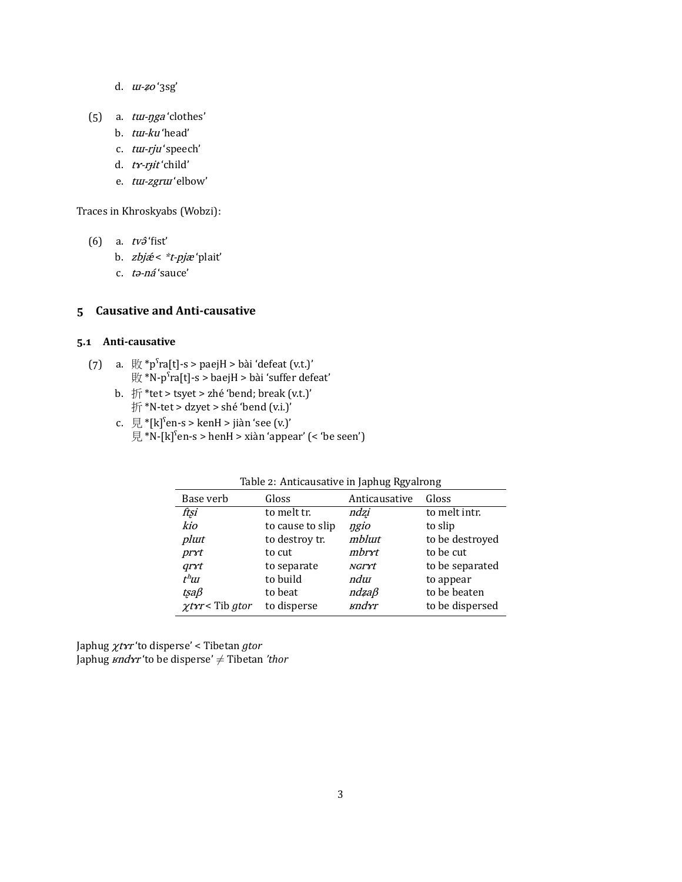- d.  $\mu$ -zoʻ3sg'
- $(5)$  a.  $tur-nga'clothes'$ 
	- b. tu-ku 'head'
	- c. tu-rju'speech'
	- d. tr-rjit'child'
	- e. tu-zgrui'elbow'

Traces in Khroskyabs (Wobzi):

- (6) a.  $tv\hat{\sigma}$ 'fist'
	- b. zbjæ < \*t-pjæ 'plait'
	- c. ta-ná'sauce'

#### 5 Causative and Anti-causative

#### 5.1 Anti-causative

- (7) a.  $\frac{1}{2}$   $\frac{1}{2}$  a.  $\frac{1}{2}$   $\frac{1}{2}$   $\frac{1}{2}$   $\frac{1}{2}$   $\frac{1}{2}$   $\frac{1}{2}$   $\frac{1}{2}$   $\frac{1}{2}$   $\frac{1}{2}$   $\frac{1}{2}$   $\frac{1}{2}$   $\frac{1}{2}$   $\frac{1}{2}$   $\frac{1}{2}$   $\frac{1}{2}$   $\frac{1}{2}$   $\frac{1}{2}$   $\frac{1}{2}$   $\frac{1}{2}$ 
	- b.  $#$ \*tet > tsyet > zhé 'bend; break (v.t.)' 折\*N-tet > dzyet > shé 'bend (v.i.)'
	- c.  $\overline{E}$  \*[k]<sup>s</sup>en-s > kenH > jiàn 'see (v.)'  $\overline{E}$  \*N-[k]<sup>s</sup>en-s > henH > xiàn 'appear' (< 'be seen')

|                             | Table 2. Allucausative III Japhug Rgyali Ulig |                 |                 |  |  |  |  |
|-----------------------------|-----------------------------------------------|-----------------|-----------------|--|--|--|--|
| Base verb                   | Gloss                                         | Anticausative   | Gloss           |  |  |  |  |
| ftsi                        | to melt tr.                                   | ndzi            | to melt intr.   |  |  |  |  |
| kio                         | to cause to slip                              | ngio            | to slip         |  |  |  |  |
| plut                        | to destroy tr.                                | mblutt          | to be destroyed |  |  |  |  |
| prxt                        | to cut                                        | mbryt           | to be cut       |  |  |  |  |
| qrrt                        | to separate                                   | NGryt           | to be separated |  |  |  |  |
| $t^h$ Ш                     | to build                                      | ndur            | to appear       |  |  |  |  |
| tsaß                        | to beat                                       | $n$ dza $\beta$ | to be beaten    |  |  |  |  |
| $\chi \text{tr}$ < Tib gtor | to disperse                                   | ыndyr           | to be dispersed |  |  |  |  |

Table 2: Anticausative in Japhug Rgyalrong

Japhug  $\chi$ t*xr* 'to disperse' < Tibetan *gtor* Japhug  $\mathit{sndrr}'$ to be disperse'  $\neq$  Tibetan 'thor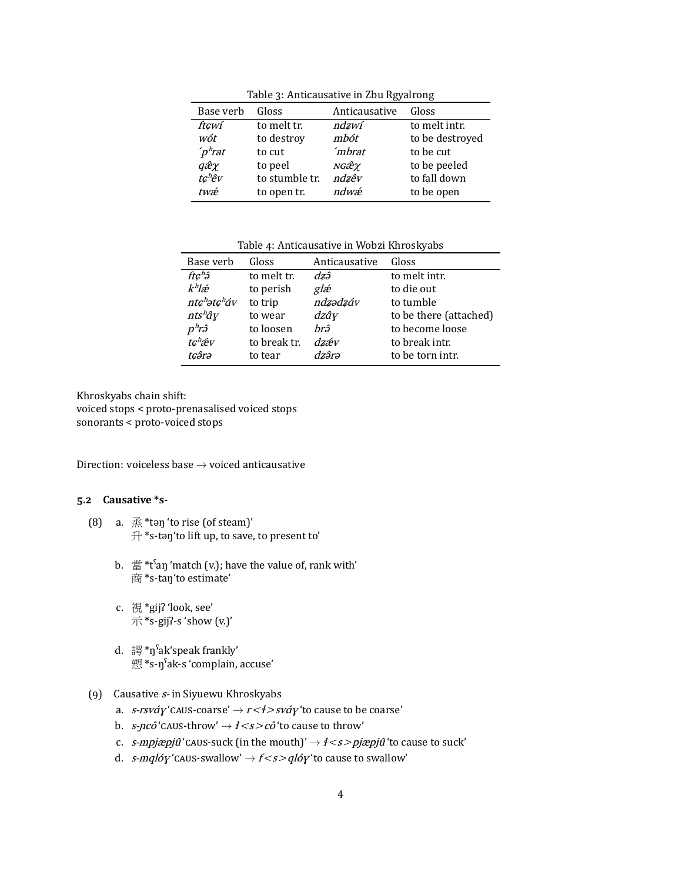| Base verb          | Gloss          | Anticausative      | Gloss           |
|--------------------|----------------|--------------------|-----------------|
| ft¢wí              | to melt tr.    | ndzwí              | to melt intr.   |
| wót                | to destroy     | mbót               | to be destroyed |
| $\int p^h$ rat     | to cut         | mbrat <sup>2</sup> | to be cut       |
| qêχ                | to peel        | NGẾΥ               | to be peeled    |
| tc <sup>h</sup> êv | to stumble tr. | ndzêv              | to fall down    |
| twæ                | to open tr.    | ndwæ               | to be open      |

Table 3: Anticausative in Zbu Rgyalrong

Table 4: Anticausative in Wobzi Khroskyabs

| Base verb                            | Gloss        | Anticausative | Gloss                  |
|--------------------------------------|--------------|---------------|------------------------|
| $f t \mathcal{G}^h$ $\mathfrak{F}$   | to melt tr.  | dzâ           | to melt intr.          |
| $k^h$ læ                             | to perish    | glæ           | to die out             |
| ntc <sup>h</sup> ətc <sup>h</sup> áv | to trip      | ndzədzáv      | to tumble              |
| $nts^h\hat{q}y$                      | to wear      | $dz\hat{a}y$  | to be there (attached) |
| pʰrậ                                 | to loosen    | hrâ           | to become loose        |
| tc <sup>h</sup> áv                   | to break tr. | dzáv          | to break intr.         |
| tcârə                                | to tear      | dzârə         | to be torn intr.       |

Khroskyabs chain shift: voiced stops < proto-prenasalised voiced stops sonorants < proto-voiced stops

Direction: voiceless base *→* voiced anticausative

#### **ͣ.͠ Causative \*s-**

- (8) a.  $\mathbb{R}^*$ tən 'to rise (of steam)' 升 \*s-təŋ'to lift up, to save, to present to'
	- b.  $\dot{\mathbb{E}}^*$  \*t<sup>s</sup>an 'match (v.); have the value of, rank with' 商 \*s-taŋ'to estimate'
	- c. 視 \*gijʔ 'look, see'  $\overline{\pi}$  \*s-gij?-s 'show (v.)'
	- d. 諤\*ŋˤak'speak frankly' 愬 \*s-ŋˤak-s 'complain, accuse'
- (9) Causative  $s$  in Siyuewu Khroskyabs
	- a. *s-rsváy* 'CAUS-coarse' →  $r$  <  $\ell$  >  $s$ váy 'to cause to be coarse'
	- b.  $s$ -pcô 'CAUS-throw'  $\rightarrow$   $\neq$  <  $s$  >  $c$ ô 'to cause to throw'
	- c. s-mpjæpjû 'ĈĆĚĘ-suck (in the mouth)' *→* ɬ<s>pjæpjû 'to cause to suck'
	- d. *s-mqlóy* 'CAUS-swallow'  $\rightarrow$   $f$  <  $s$  >  $q$ *lóy* 'to cause to swallow'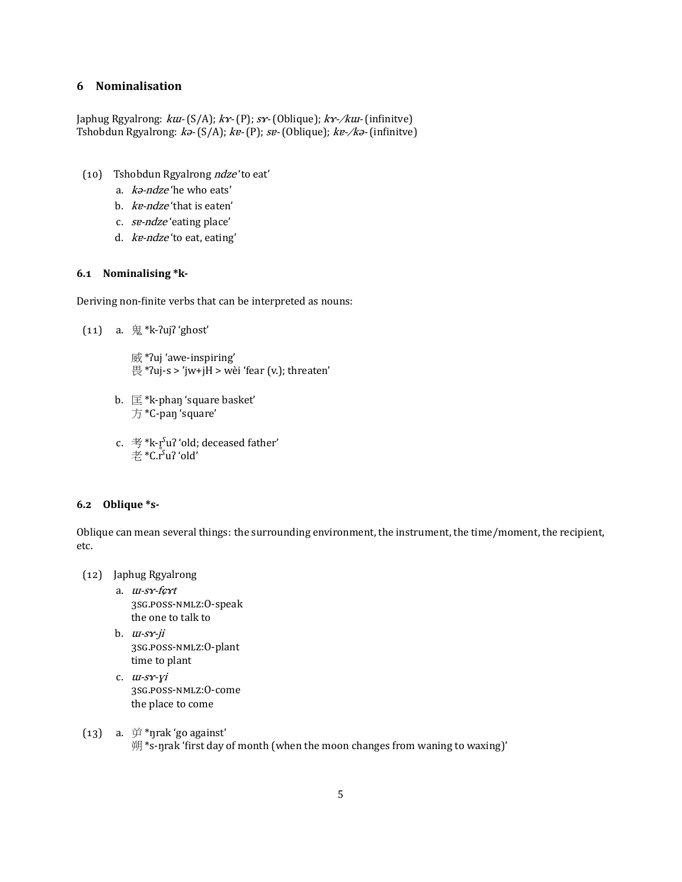### **ͤ Nominalisation**

Japhug Rgyalrong:  $k u - (S/A)$ ;  $k x - (P)$ ;  $s x - (Oblique)$ ;  $k x - / k u - (infinite)$ Tshobdun Rgyalrong:  $k^3$ - (S/A); kɐ- (P); sɐ- (Oblique); kɐ-/kə- (infinitve)

- (10) Tshobdun Rgyalrong ndze'to eat'
	- a. kə-ndze 'he who eats'
	- b. kɐ-ndze 'that is eaten'
	- c. sɐ-ndze 'eating place'
	- d. kɐ-ndze 'to eat, eating'

#### **ͤ.͟ Nominalising \*k-**

Deriving non-finite verbs that can be interpreted as nouns:

 $(11)$  a.  $\overline{\text{R}}$  \*k-?uj? 'ghost'

威 \*ʔuj 'awe-inspiring' 畏 \*ʔuj-s > 'jw+jH > wèi 'fear (v.); threaten'

- b.  $\mathbb{E}^*$ k-phan 'square basket' 方 \*C-paŋ 'square'
- c. 考\*k- $\mathbf{r}^s$ uʔ 'old; deceased father' 老 \*C.rˤuʔ 'old'

#### **ͤ.͠ Oblique \*s-**

Oblique can mean several things: the surrounding environment, the instrument, the time/moment, the recipient, etc.

- (͟͠) Japhug Rgyalrong
	- a. ɯ-sɤ-fɕɤt 3SG.POSS-NMLZ:O-speak the one to talk to
	- b.  $u\nu$ - $s\nu$ -ji 3SG.POSS-NMLZ:O-plant time to plant
	- c.  $u$ -s $r$ -yi 3SG.POSS-NMLZ:O-come the place to come
- (13) a.  $\overleftrightarrow{p}$  \*nrak 'go against' 朔 \*s-ŋrak 'ϐirst day of month (when the moon changes from waning to waxing)'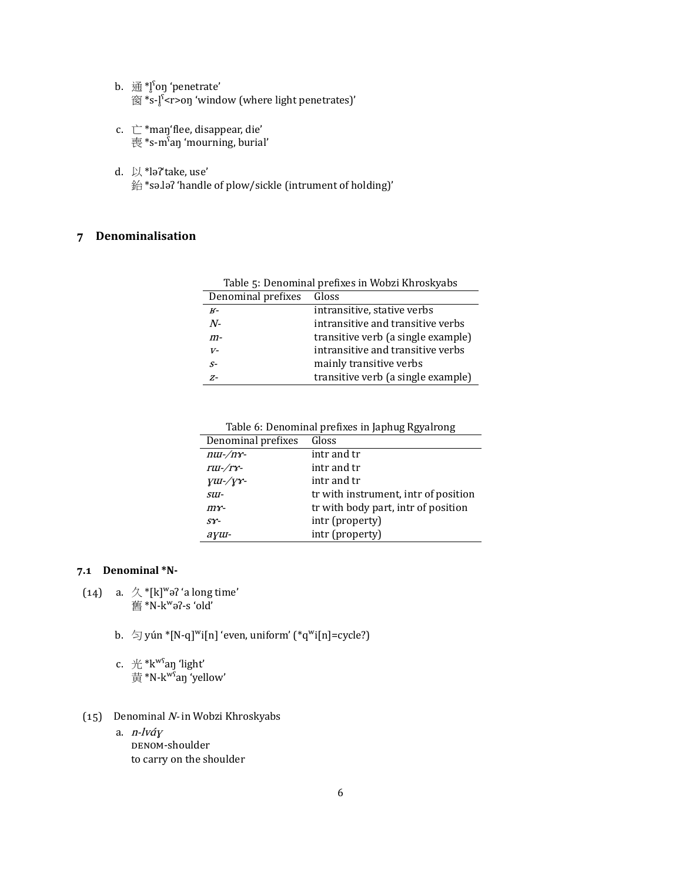- b. 通\*l̥<sup>s</sup>on 'penetrate' 窗 \*s-lˤ <r>on 'window (where light penetrates)'
- c.  $\stackrel{\rightharpoonup}{\smile}$  \*maŋ'flee, disappear, die' 喪 \*s-mˤaŋ 'mourning, burial'
- d. 以 \*ləʔ'take, use' 鈶 \*sə.ləʔ 'handle of plow/sickle (intrument of holding)'

## **ͥ Denominalisation**

| Table 5: Denominal prefixes in Wobzi Khroskyabs |                                    |  |  |  |
|-------------------------------------------------|------------------------------------|--|--|--|
| Denominal prefixes                              | Gloss                              |  |  |  |
| $K-$                                            | intransitive, stative verbs        |  |  |  |
| $N-$                                            | intransitive and transitive verbs  |  |  |  |
| $m-$                                            | transitive verb (a single example) |  |  |  |
| $V-$                                            | intransitive and transitive verbs  |  |  |  |
| $S-$                                            | mainly transitive verbs            |  |  |  |
| $Z-$                                            | transitive verb (a single example) |  |  |  |

Table 6: Denominal prefixes in Japhug Rgyalrong

| Denominal prefixes                          | Gloss                                |
|---------------------------------------------|--------------------------------------|
| $nu-\/nr$ -                                 | intr and tr                          |
| rui-/ry-                                    | intr and tr                          |
| $\gamma$ <i>u</i> - $\gamma$ <sup>x</sup> - | intr and tr                          |
| SUI-                                        | tr with instrument, intr of position |
| $m$ $r$ -                                   | tr with body part, intr of position  |
| $ST-$                                       | intr (property)                      |
| ayu-                                        | intr (property)                      |

#### **ͥ.͟ Denominal \*N-**

- (14) a.  $\mathcal{A}$  \*[k]<sup>w</sup>ə? 'a long time' 舊 \*N-kʷəʔ-s 'old'
	- b.  $\Im$  yún \*[N-q]<sup>w</sup>i[n] 'even, uniform' (\*q<sup>w</sup>i[n]=cycle?)
	- c.  $#$ \* $k<sup>ws</sup>$ aŋ 'light' 黄 \*N-kʷˤaŋ 'yellow'
- (15) Denominal N- in Wobzi Khroskyabs
	- a. n-lvɑ́ɣ DENOM-shoulder to carry on the shoulder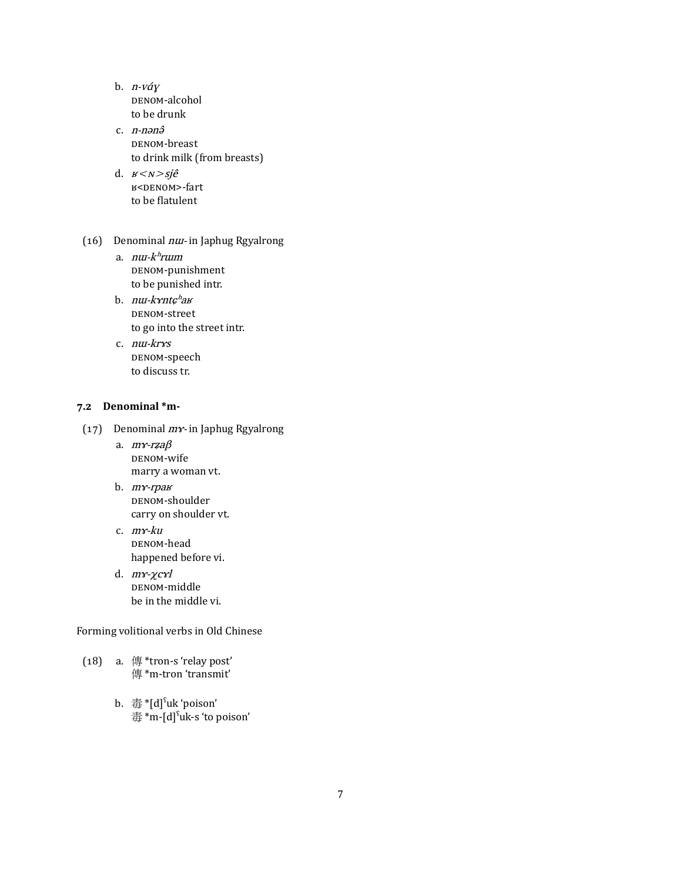- b.  $n-v$ áy DENOM-alcohol to be drunk
- c. *n-nənə* DENOM-breast to drink milk (from breasts)
- d.  $B \le N \ge Sj\hat{e}$ в<<sub>DENOM</sub>>-fart to be flatulent
- ( $16$ ) Denominal  $n u$  in Japhug Rgyalrong
	- a. nur-khrum DENOM-punishment to be punished intr.
	- b. nu-k*xntç<sup>h</sup>av* DENOM-street to go into the street intr.
	- c. nɯ-krɤs DENOM-speech to discuss tr.

### **ͥ.͠ Denominal \*m-**

- (17) Denominal  $m\gamma$  in Japhug Rgyalrong
	- a. mɤ-rʑaβ DENOM-wife marry a woman vt.
	- b. mɤ-rpaʁ DENOM-shoulder carry on shoulder vt.
	- c. mɤ-ku DENOM-head happened before vi.
	- d. mɤ-χcɤl DENOM-middle be in the middle vi.

Forming volitional verbs in Old Chinese

- ( $18$ ) a.  $4$  \*tron-s 'relay post' 傳 \*m-tron 'transmit'
	- b. 毒 \*[d]ˤuk 'poison' 毒 \*m-[d]ˤuk-s 'to poison'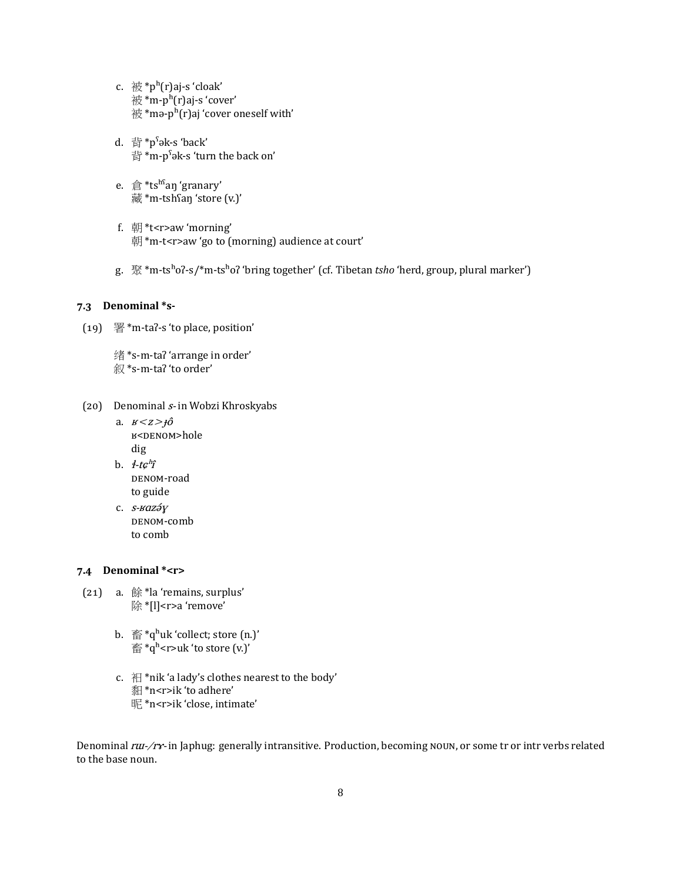- c.  $\frac{1}{1000}$  \*p<sup>h</sup>(r)aj-s 'cloak' 被 \*m-pʰ(r)aj-s 'cover' 被 \*mə-p $h(r)$ aj 'cover oneself with'
- d. 背 \*pˤək-s 'back' 背 \*m-pˤək-s 'turn the back on'
- e. 倉 \*tshˤaŋ 'granary' 藏 \*m-tshʕaŋ 'store (v.)'
- f. 朝 \*t<r>aw 'morning' 朝\*m-t<r>aw 'go to (morning) audience at court'
- g. 聚 \*m-tsʰoʔ-s/\*m-tsʰoʔ 'bring together' (cf. Tibetan *tsho* 'herd, group, plural marker')

#### **ͥ.͡ Denominal \*s-**

- $(19)$  署 \*m-taʔ-s 'to place, position'
	- 绪 \*s-m-taʔ 'arrange in order' 叙 \*s-m-taʔ 'to order'
- (20) Denominal  $s$  in Wobzi Khroskyabs
	- a.  $B \leq Z \geq \hat{10}$ в<<sub>DENOM</sub>>hole dig
	- b.  $4-tc<sup>h</sup>î$ DENOM-road to guide
	- c. s-<sub>Baz</sub>áy DENOM-comb to comb

#### **ͥ.͢ Denominal \*<r>**

- (21) a.  $#$ \*la 'remains, surplus' 除\*[l]<r>a 'remove'
	- b.  $\tilde{\mathbb{S}}^*$ q<sup>h</sup>uk 'collect; store (n.)'  $\widehat{\mathbb{E}}^*$ q<sup>h</sup><r>uk 'to store (v.)'
	- c. 衵 \*nik 'a lady's clothes nearest to the body' 䵒 \*n<r>ik 'to adhere' 昵 \*n<r>ik 'close, intimate'

Denominal rui-/rx- in Japhug: generally intransitive. Production, becoming NOUN, or some tr or intr verbs related to the base noun.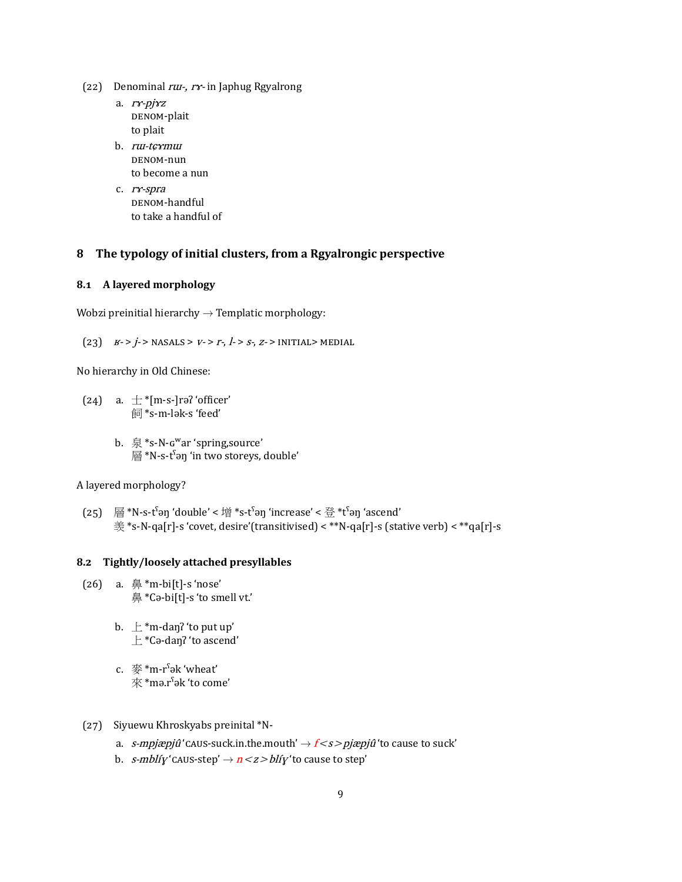- (22) Denominal  $r\overline{u}$ ,  $r\gamma$  in Japhug Rgyalrong
	- a. ry-pjyz DENOM-plait to plait
	- b. ru-teymur DENOM-nun to become a nun
	- c. ry-spra DENOM-handful to take a handful of

#### The typology of initial clusters, from a Rgyalrongic perspective 8

#### 8.1 A layered morphology

Wobzi preinitial hierarchy  $\rightarrow$  Templatic morphology:

(23)  $B > j >$  NASALS >  $V > r -$ ,  $l > s - z$  > INITIAL> MEDIAL

No hierarchy in Old Chinese:

(24) a.  $\pm$  \*[m-s-]rə? 'officer' 飼\*s-m-lək-s 'feed'

> b.  $\overline{\mathbb{R}}$  \*s-N- $G^{\text{w}}$ ar 'spring, source'  $\mathbb{R}^*$ N-s-t<sup>s</sup>an 'in two storeys, double'

#### A layered morphology?

(25) 層\*N-s-t<sup>s</sup>ən 'double' < 增 \*s-tˤən 'increase' < 登 \*tˤən 'ascend' 羡\*s-N-qa[r]-s 'covet, desire'(transitivised) < \*\*N-qa[r]-s (stative verb) < \*\*qa[r]-s

#### 8.2 Tightly/loosely attached presyllables

- (26)  $a. \n=$   $*$ m-bi[t]-s 'nose' 鼻\*Cə-bi[t]-s 'to smell vt.'
	- b.  $\pm$  \*m-dan? 'to put up'  $\pm$  \*Cə-dan? 'to ascend'
	- c.  $\mathcal{L}^*$ \*m-r<sup>s</sup>ək 'wheat'  $\overline{\mathcal{R}}$  \*mə.r<sup>s</sup>ək 'to come'
- (27) Siyuewu Khroskyabs preinital \*N
	- a. *s-mpjæpjû* 'CAUS-suck.in.the.mouth'  $\rightarrow$   $f$  < *s > pjæpjû* 'to cause to suck'
	- b. *s-mblíy* 'caus-step'  $\rightarrow$   $n < z > bl$ *iy* 'to cause to step'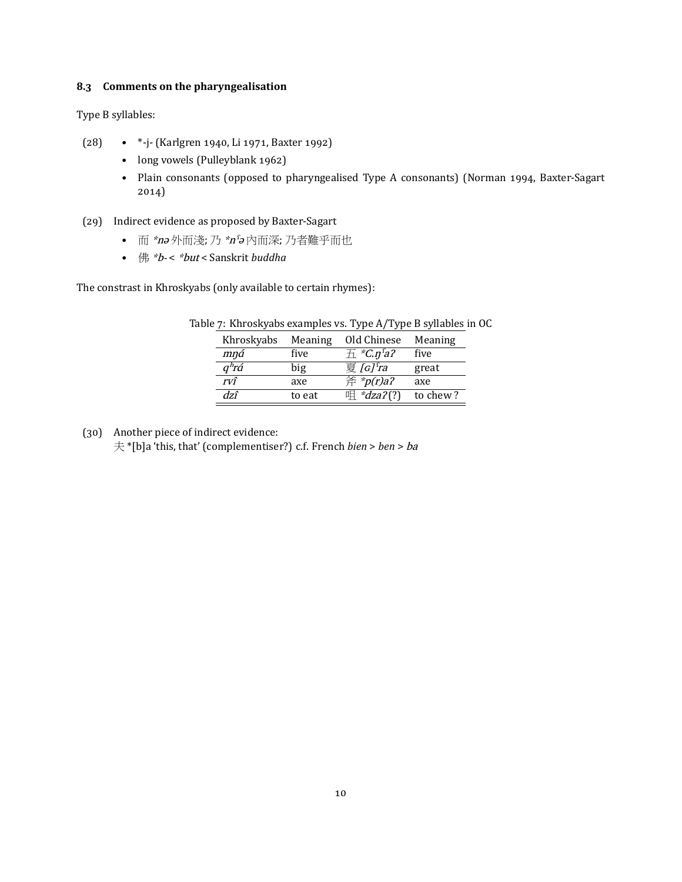#### **ͦ.͡ Comments on the pharyngealisation**

Type B syllables:

- (28) \*-j- (Karlgren 1940, Li 1971, Baxter 1992)
	- long vowels (Pulleyblank 1962)
	- Plain consonants (opposed to pharyngealised Type A consonants) (Norman 1994, Baxter-Sagart 2014)

#### (29) Indirect evidence as proposed by Baxter-Sagart

- 而 \*nə 外而淺; 乃 \*nˤə 內而深; 乃者難乎而也
- 佛 \*b- < \*but < Sanskrit *buddha*

The constrast in Khroskyabs (only available to certain rhymes):

| Khroskyabs | Meaning | Old Chinese                | Meaning  |
|------------|---------|----------------------------|----------|
| mná        | five    | $\pm$ *C.n <sup>s</sup> a? | five     |
| $q^h$ rá   | big     | 夏 $G$ <sup>ra</sup>        | great    |
| rvî        | axe     | 斧 * $p(r)a$ ?              | axe      |
| dzî        | to eat  | 咀 * $dza$ ?(?)             | to chew? |

Table 7: Khroskyabs examples vs. Type A/Type B syllables in OC

(30) Another piece of indirect evidence: 夫 \*[b]a 'this, that' (complementiser?) c.f. French *bien* > *ben* > ba